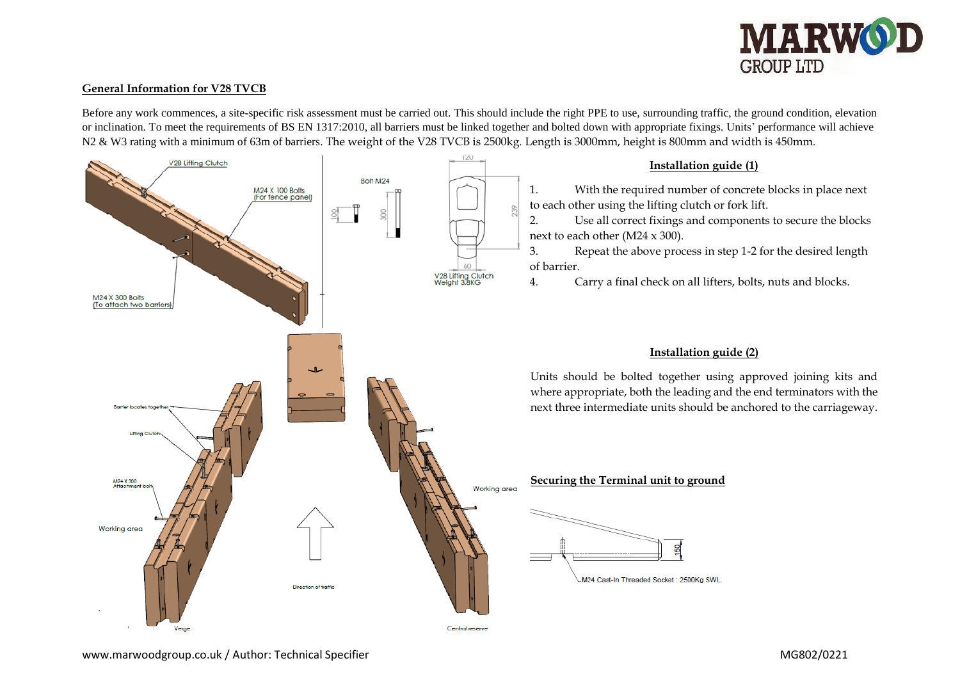

#### **General Information for V28 TVCB**

Before any work commences, a site-specific risk assessment must be carried out. This should include the right PPE to use, surrounding traffic, the ground condition, elevation or inclination. To meet the requirements of BS EN 1317:2010, all barriers must be linked together and bolted down with appropriate fixings. Units' performance will achieve N2 & W3 rating with a minimum of 63m of barriers. The weight of the V28 TVCB is 2500kg. Length is 3000mm, height is 800mm and width is 450mm.

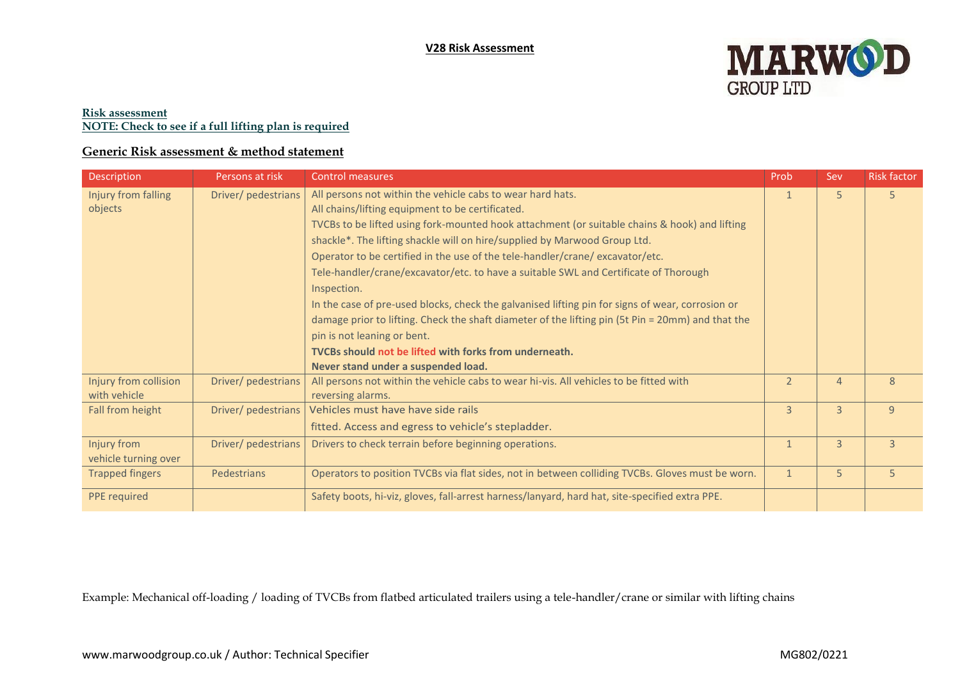

### **Risk assessment NOTE: Check to see if a full lifting plan is required**

# **Generic Risk assessment & method statement**

| Description                           | Persons at risk     | <b>Control measures</b>                                                                                                                                                                                                                                                                                                                                                                                                                                                                                                                                                                                                                                                                                                                                                                                                      | Prob           | Sev            | <b>Risk factor</b> |
|---------------------------------------|---------------------|------------------------------------------------------------------------------------------------------------------------------------------------------------------------------------------------------------------------------------------------------------------------------------------------------------------------------------------------------------------------------------------------------------------------------------------------------------------------------------------------------------------------------------------------------------------------------------------------------------------------------------------------------------------------------------------------------------------------------------------------------------------------------------------------------------------------------|----------------|----------------|--------------------|
| Injury from falling<br>objects        | Driver/ pedestrians | All persons not within the vehicle cabs to wear hard hats.<br>All chains/lifting equipment to be certificated.<br>TVCBs to be lifted using fork-mounted hook attachment (or suitable chains & hook) and lifting<br>shackle*. The lifting shackle will on hire/supplied by Marwood Group Ltd.<br>Operator to be certified in the use of the tele-handler/crane/excavator/etc.<br>Tele-handler/crane/excavator/etc. to have a suitable SWL and Certificate of Thorough<br>Inspection.<br>In the case of pre-used blocks, check the galvanised lifting pin for signs of wear, corrosion or<br>damage prior to lifting. Check the shaft diameter of the lifting pin (5t Pin = 20mm) and that the<br>pin is not leaning or bent.<br>TVCBs should not be lifted with forks from underneath.<br>Never stand under a suspended load. | $\mathbf{1}$   | 5              | 5                  |
| Injury from collision<br>with vehicle | Driver/ pedestrians | All persons not within the vehicle cabs to wear hi-vis. All vehicles to be fitted with<br>reversing alarms.                                                                                                                                                                                                                                                                                                                                                                                                                                                                                                                                                                                                                                                                                                                  | $\overline{2}$ | $\overline{4}$ | 8                  |
| Fall from height                      | Driver/ pedestrians | Vehicles must have have side rails<br>fitted. Access and egress to vehicle's stepladder.                                                                                                                                                                                                                                                                                                                                                                                                                                                                                                                                                                                                                                                                                                                                     | $\overline{3}$ | $\overline{3}$ | 9                  |
| Injury from<br>vehicle turning over   | Driver/ pedestrians | Drivers to check terrain before beginning operations.                                                                                                                                                                                                                                                                                                                                                                                                                                                                                                                                                                                                                                                                                                                                                                        | $\mathbf{1}$   | $\overline{3}$ | $\overline{3}$     |
| <b>Trapped fingers</b>                | Pedestrians         | Operators to position TVCBs via flat sides, not in between colliding TVCBs. Gloves must be worn.                                                                                                                                                                                                                                                                                                                                                                                                                                                                                                                                                                                                                                                                                                                             |                | 5              | 5                  |
| <b>PPE</b> required                   |                     | Safety boots, hi-viz, gloves, fall-arrest harness/lanyard, hard hat, site-specified extra PPE.                                                                                                                                                                                                                                                                                                                                                                                                                                                                                                                                                                                                                                                                                                                               |                |                |                    |

Example: Mechanical off-loading / loading of TVCBs from flatbed articulated trailers using a tele-handler/crane or similar with lifting chains